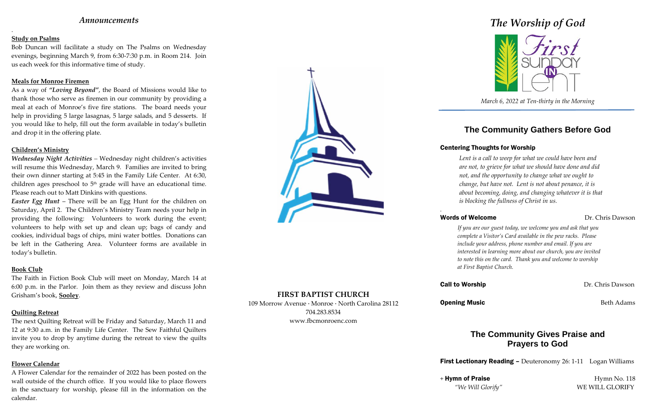## *Announcements*

.

## **Study on Psalms**

Bob Duncan will facilitate a study on The Psalms on Wednesday evenings, beginning March 9, from 6:30-7:30 p.m. in Room 214. Join us each week for this informative time of study.

### **Meals for Monroe Firemen**

As a way of *"Loving Beyond"*, the Board of Missions would like to thank those who serve as firemen in our community by providing a meal at each of Monroe's five fire stations. The board needs your help in providing 5 large lasagnas, 5 large salads, and 5 desserts. If you would like to help, fill out the form available in today's bulletin and drop it in the offering plate.

### **Children's Ministry**

*Wednesday Night Activities –* Wednesday night children's activities will resume this Wednesday, March 9. Families are invited to bring their own dinner starting at 5:45 in the Family Life Center. At 6:30, children ages preschool to  $5<sup>th</sup>$  grade will have an educational time. Please reach out to Matt Dinkins with questions.

*Easter Egg Hunt* – There will be an Egg Hunt for the children on Saturday, April 2. The Children's Ministry Team needs your help in providing the following: Volunteers to work during the event; volunteers to help with set up and clean up; bags of candy and cookies, individual bags of chips, mini water bottles. Donations can be left in the Gathering Area. Volunteer forms are available in today's bulletin.

### **Book Club**

The Faith in Fiction Book Club will meet on Monday, March 14 at 6:00 p.m. in the Parlor. Join them as they review and discuss John Grisham's book, **Sooley**.

## **Quilting Retreat**

+ Hymn of Praise Hymn No. 118 *"We Will Glorify"* WE WILL GLORIFY

The next Quilting Retreat will be Friday and Saturday, March 11 and 12 at 9:30 a.m. in the Family Life Center. The Sew Faithful Quilters invite you to drop by anytime during the retreat to view the quilts they are working on.

### **Flower Calendar**

A Flower Calendar for the remainder of 2022 has been posted on the wall outside of the church office. If you would like to place flowers in the sanctuary for worship, please fill in the information on the calendar.



## **FIRST BAPTIST CHURCH**

109 Morrow Avenue · Monroe · North Carolina 28112 704.283.8534 www.fbcmonroenc.com

# *The Worship of God*



*March 6, 2022 at Ten-thirty in the Morning*

## **The Community Gathers Before God**

## Centering Thoughts for Worship

*Lent is a call to weep for what we could have been and are not, to grieve for what we should have done and did not, and the opportunity to change what we ought to change, but have not. Lent is not about penance, it is about becoming, doing, and changing whatever it is that is blocking the fullness of Christ in us.*

*.*

## Words of Welcome Dr. Chris Dawson

*If you are our guest today, we welcome you and ask that you complete a Visitor's Card available in the pew racks. Please include your address, phone number and email. If you are interested in learning more about our church, you are invited to note this on the card. Thank you and welcome to worship at First Baptist Church.*

**Call to Worship Dr. Chris Dawson** 

**Opening Music** Beth Adams

## **The Community Gives Praise and Prayers to God**

**First Lectionary Reading –** Deuteronomy 26: 1-11 Logan Williams